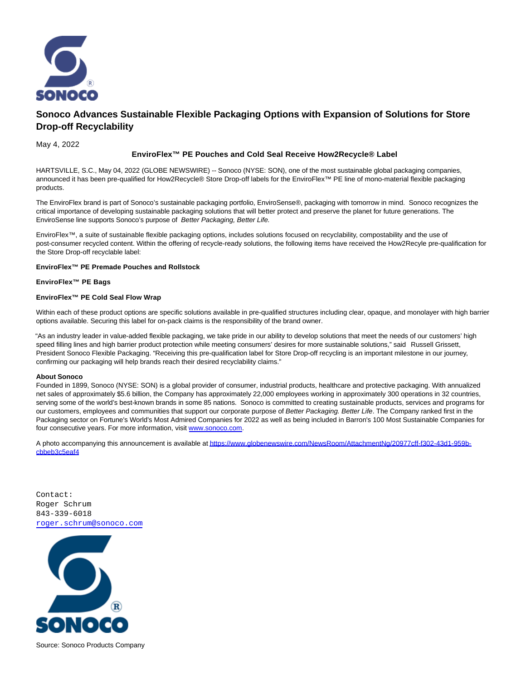

# **Sonoco Advances Sustainable Flexible Packaging Options with Expansion of Solutions for Store Drop-off Recyclability**

May 4, 2022

## **EnviroFlex™ PE Pouches and Cold Seal Receive How2Recycle® Label**

HARTSVILLE, S.C., May 04, 2022 (GLOBE NEWSWIRE) -- Sonoco (NYSE: SON), one of the most sustainable global packaging companies, announced it has been pre-qualified for How2Recycle® Store Drop-off labels for the EnviroFlex™ PE line of mono-material flexible packaging products.

The EnviroFlex brand is part of Sonoco's sustainable packaging portfolio, EnviroSense®, packaging with tomorrow in mind. Sonoco recognizes the critical importance of developing sustainable packaging solutions that will better protect and preserve the planet for future generations. The EnviroSense line supports Sonoco's purpose of Better Packaging, Better Life.

EnviroFlex™, a suite of sustainable flexible packaging options, includes solutions focused on recyclability, compostability and the use of post-consumer recycled content. Within the offering of recycle-ready solutions, the following items have received the How2Recyle pre-qualification for the Store Drop-off recyclable label:

#### **EnviroFlex™ PE Premade Pouches and Rollstock**

#### **EnviroFlex™ PE Bags**

### **EnviroFlex™ PE Cold Seal Flow Wrap**

Within each of these product options are specific solutions available in pre-qualified structures including clear, opaque, and monolayer with high barrier options available. Securing this label for on-pack claims is the responsibility of the brand owner.

"As an industry leader in value-added flexible packaging, we take pride in our ability to develop solutions that meet the needs of our customers' high speed filling lines and high barrier product protection while meeting consumers' desires for more sustainable solutions," said Russell Grissett, President Sonoco Flexible Packaging. "Receiving this pre-qualification label for Store Drop-off recycling is an important milestone in our journey, confirming our packaging will help brands reach their desired recyclability claims."

#### **About Sonoco**

Founded in 1899, Sonoco (NYSE: SON) is a global provider of consumer, industrial products, healthcare and protective packaging. With annualized net sales of approximately \$5.6 billion, the Company has approximately 22,000 employees working in approximately 300 operations in 32 countries, serving some of the world's best-known brands in some 85 nations. Sonoco is committed to creating sustainable products, services and programs for our customers, employees and communities that support our corporate purpose of Better Packaging. Better Life. The Company ranked first in the Packaging sector on Fortune's World's Most Admired Companies for 2022 as well as being included in Barron's 100 Most Sustainable Companies for four consecutive years. For more information, visit [www.sonoco.com.](https://www.globenewswire.com/Tracker?data=RW-gEaaJnJ1piljCfMl2dBQ1WV9ZINBeooY6PMwKFxoRxgwBCxXv9qFIbKdlm3d3xYrf1YeekzEJfDV69A2NzA==)

A photo accompanying this announcement is available a[t https://www.globenewswire.com/NewsRoom/AttachmentNg/20977cff-f302-43d1-959b](https://www.globenewswire.com/Tracker?data=It73K20dvYGRx25QCq90wql_ejZsiZr0wy-bRr1X2Gv8OXXFW9IsRDgxBzqhhx2rQDv-8UjzdRd6HPZA5pEVcpkC2RTI2w7gN_WVmFmHGvPMTGLfn-UP2DDEpy0tkwrxSRInaXcnuMTtAoduK_y95woQEGAZL6jE_O_WPSyrZ2MvpfGhPKIb6rj3p7sBP-JY98aBP6XVI-qypcV71iGRTn6VosOHLmCDy5eCCG-42l1nwQRlt0smOZXSGBVoqpg8yjLstktB55DimVsLyKSdvA==)cbbeb3c5eaf4

Contact: Roger Schrum 843-339-6018 [roger.schrum@sonoco.com](mailto:roger.schrum@sonoco.com)